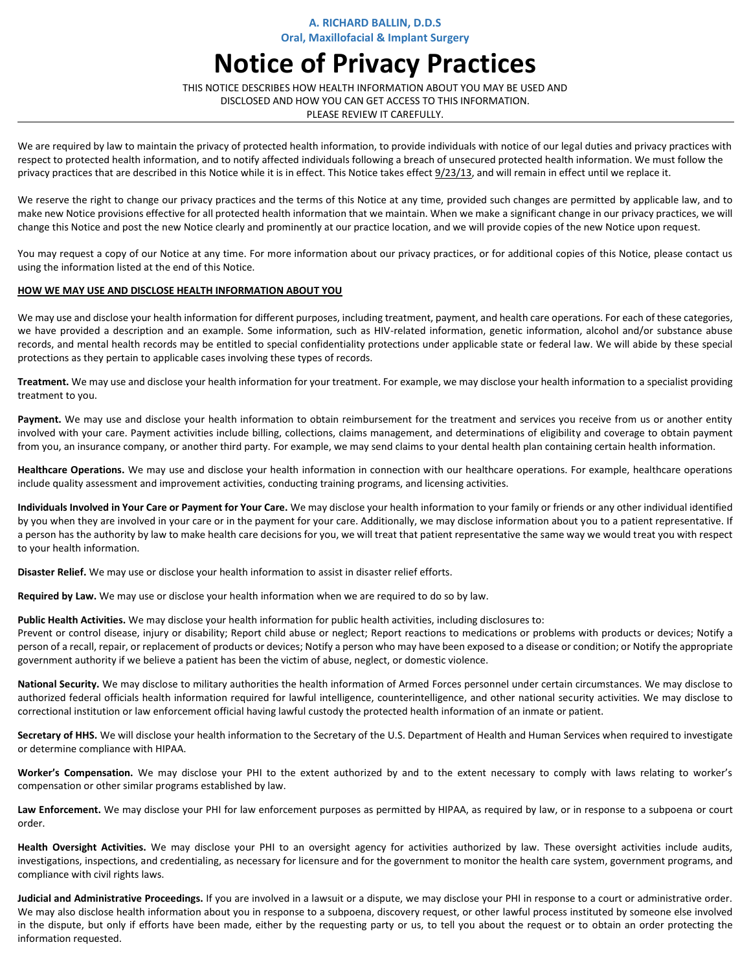**Oral, Maxillofacial & Implant Surgery**

# **Notice of Privacy Practices**

THIS NOTICE DESCRIBES HOW HEALTH INFORMATION ABOUT YOU MAY BE USED AND

DISCLOSED AND HOW YOU CAN GET ACCESS TO THIS INFORMATION.

## PLEASE REVIEW IT CAREFULLY.

We are required by law to maintain the privacy of protected health information, to provide individuals with notice of our legal duties and privacy practices with respect to protected health information, and to notify affected individuals following a breach of unsecured protected health information. We must follow the privacy practices that are described in this Notice while it is in effect. This Notice takes effect 9/23/13, and will remain in effect until we replace it.

We reserve the right to change our privacy practices and the terms of this Notice at any time, provided such changes are permitted by applicable law, and to make new Notice provisions effective for all protected health information that we maintain. When we make a significant change in our privacy practices, we will change this Notice and post the new Notice clearly and prominently at our practice location, and we will provide copies of the new Notice upon request.

You may request a copy of our Notice at any time. For more information about our privacy practices, or for additional copies of this Notice, please contact us using the information listed at the end of this Notice.

### **HOW WE MAY USE AND DISCLOSE HEALTH INFORMATION ABOUT YOU**

We may use and disclose your health information for different purposes, including treatment, payment, and health care operations. For each of these categories, we have provided a description and an example. Some information, such as HIV-related information, genetic information, alcohol and/or substance abuse records, and mental health records may be entitled to special confidentiality protections under applicable state or federal law. We will abide by these special protections as they pertain to applicable cases involving these types of records.

**Treatment.** We may use and disclose your health information for your treatment. For example, we may disclose your health information to a specialist providing treatment to you.

**Payment.** We may use and disclose your health information to obtain reimbursement for the treatment and services you receive from us or another entity involved with your care. Payment activities include billing, collections, claims management, and determinations of eligibility and coverage to obtain payment from you, an insurance company, or another third party. For example, we may send claims to your dental health plan containing certain health information.

**Healthcare Operations.** We may use and disclose your health information in connection with our healthcare operations. For example, healthcare operations include quality assessment and improvement activities, conducting training programs, and licensing activities.

**Individuals Involved in Your Care or Payment for Your Care.** We may disclose your health information to your family or friends or any other individual identified by you when they are involved in your care or in the payment for your care. Additionally, we may disclose information about you to a patient representative. If a person has the authority by law to make health care decisions for you, we will treat that patient representative the same way we would treat you with respect to your health information.

**Disaster Relief.** We may use or disclose your health information to assist in disaster relief efforts.

**Required by Law.** We may use or disclose your health information when we are required to do so by law.

**Public Health Activities.** We may disclose your health information for public health activities, including disclosures to:

Prevent or control disease, injury or disability; Report child abuse or neglect; Report reactions to medications or problems with products or devices; Notify a person of a recall, repair, or replacement of products or devices; Notify a person who may have been exposed to a disease or condition; or Notify the appropriate government authority if we believe a patient has been the victim of abuse, neglect, or domestic violence.

**National Security.** We may disclose to military authorities the health information of Armed Forces personnel under certain circumstances. We may disclose to authorized federal officials health information required for lawful intelligence, counterintelligence, and other national security activities. We may disclose to correctional institution or law enforcement official having lawful custody the protected health information of an inmate or patient.

Secretary of HHS. We will disclose your health information to the Secretary of the U.S. Department of Health and Human Services when required to investigate or determine compliance with HIPAA.

**Worker's Compensation.** We may disclose your PHI to the extent authorized by and to the extent necessary to comply with laws relating to worker's compensation or other similar programs established by law.

Law Enforcement. We may disclose your PHI for law enforcement purposes as permitted by HIPAA, as required by law, or in response to a subpoena or court order.

**Health Oversight Activities.** We may disclose your PHI to an oversight agency for activities authorized by law. These oversight activities include audits, investigations, inspections, and credentialing, as necessary for licensure and for the government to monitor the health care system, government programs, and compliance with civil rights laws.

Judicial and Administrative Proceedings. If you are involved in a lawsuit or a dispute, we may disclose your PHI in response to a court or administrative order. We may also disclose health information about you in response to a subpoena, discovery request, or other lawful process instituted by someone else involved in the dispute, but only if efforts have been made, either by the requesting party or us, to tell you about the request or to obtain an order protecting the information requested.